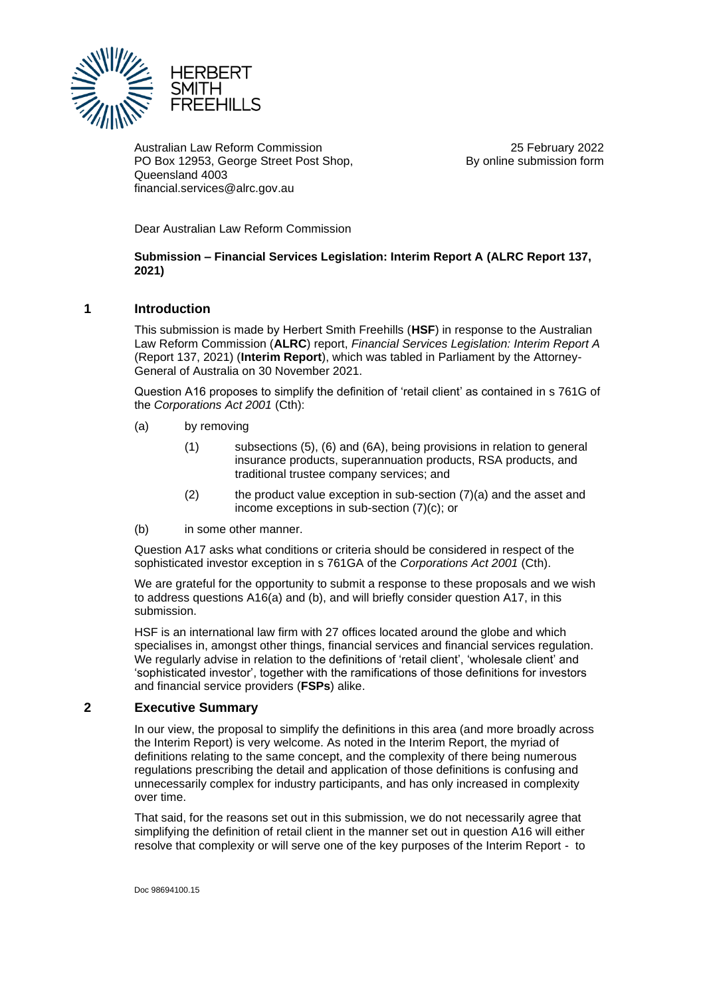

Australian Law Reform Commission PO Box 12953, George Street Post Shop, Queensland 4003 financial.services@alrc.gov.au

25 February 2022 By online submission form

Dear Australian Law Reform Commission

**Submission – Financial Services Legislation: Interim Report A (ALRC Report 137, 2021)**

## **1 Introduction**

This submission is made by Herbert Smith Freehills (**HSF**) in response to the Australian Law Reform Commission (**ALRC**) report, *Financial Services Legislation: Interim Report A*  (Report 137, 2021) (**Interim Report**), which was tabled in Parliament by the Attorney-General of Australia on 30 November 2021.

Question A16 proposes to simplify the definition of 'retail client' as contained in s 761G of the *Corporations Act 2001* (Cth):

- (a) by removing
	- (1) subsections (5), (6) and (6A), being provisions in relation to general insurance products, superannuation products, RSA products, and traditional trustee company services; and
	- $(2)$  the product value exception in sub-section  $(7)(a)$  and the asset and income exceptions in sub-section (7)(c); or
- (b) in some other manner.

Question A17 asks what conditions or criteria should be considered in respect of the sophisticated investor exception in s 761GA of the *Corporations Act 2001* (Cth).

We are grateful for the opportunity to submit a response to these proposals and we wish to address questions A16(a) and (b), and will briefly consider question A17, in this submission.

HSF is an international law firm with 27 offices located around the globe and which specialises in, amongst other things, financial services and financial services regulation. We regularly advise in relation to the definitions of 'retail client', 'wholesale client' and 'sophisticated investor', together with the ramifications of those definitions for investors and financial service providers (**FSPs**) alike.

## **2 Executive Summary**

In our view, the proposal to simplify the definitions in this area (and more broadly across the Interim Report) is very welcome. As noted in the Interim Report, the myriad of definitions relating to the same concept, and the complexity of there being numerous regulations prescribing the detail and application of those definitions is confusing and unnecessarily complex for industry participants, and has only increased in complexity over time.

That said, for the reasons set out in this submission, we do not necessarily agree that simplifying the definition of retail client in the manner set out in question A16 will either resolve that complexity or will serve one of the key purposes of the Interim Report - to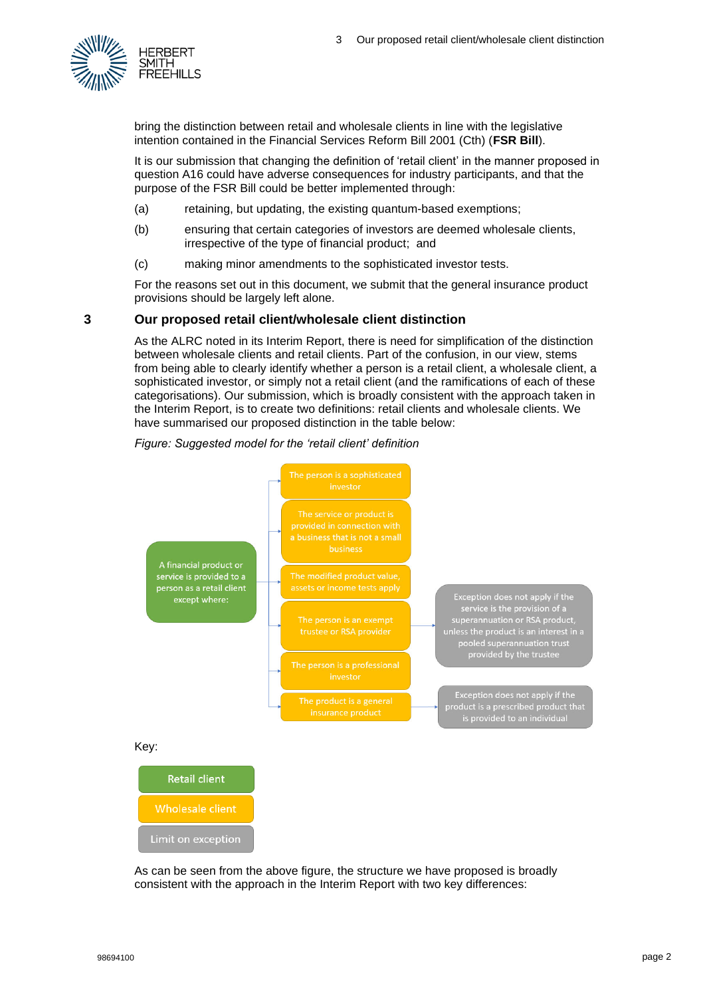

bring the distinction between retail and wholesale clients in line with the legislative intention contained in the Financial Services Reform Bill 2001 (Cth) (**FSR Bill**).

It is our submission that changing the definition of 'retail client' in the manner proposed in question A16 could have adverse consequences for industry participants, and that the purpose of the FSR Bill could be better implemented through:

- (a) retaining, but updating, the existing quantum-based exemptions;
- (b) ensuring that certain categories of investors are deemed wholesale clients, irrespective of the type of financial product; and
- (c) making minor amendments to the sophisticated investor tests.

For the reasons set out in this document, we submit that the general insurance product provisions should be largely left alone.

# **3 Our proposed retail client/wholesale client distinction**

As the ALRC noted in its Interim Report, there is need for simplification of the distinction between wholesale clients and retail clients. Part of the confusion, in our view, stems from being able to clearly identify whether a person is a retail client, a wholesale client, a sophisticated investor, or simply not a retail client (and the ramifications of each of these categorisations). Our submission, which is broadly consistent with the approach taken in the Interim Report, is to create two definitions: retail clients and wholesale clients. We have summarised our proposed distinction in the table below:

## *Figure: Suggested model for the 'retail client' definition*



As can be seen from the above figure, the structure we have proposed is broadly consistent with the approach in the Interim Report with two key differences: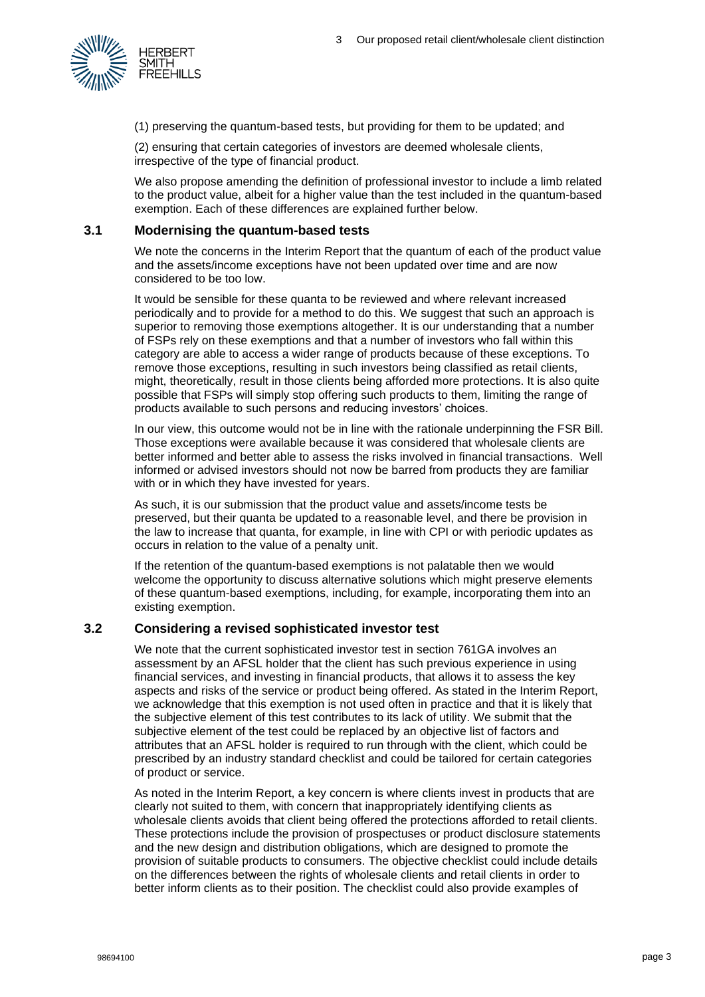

(1) preserving the quantum-based tests, but providing for them to be updated; and

(2) ensuring that certain categories of investors are deemed wholesale clients, irrespective of the type of financial product.

We also propose amending the definition of professional investor to include a limb related to the product value, albeit for a higher value than the test included in the quantum-based exemption. Each of these differences are explained further below.

# **3.1 Modernising the quantum-based tests**

We note the concerns in the Interim Report that the quantum of each of the product value and the assets/income exceptions have not been updated over time and are now considered to be too low.

It would be sensible for these quanta to be reviewed and where relevant increased periodically and to provide for a method to do this. We suggest that such an approach is superior to removing those exemptions altogether. It is our understanding that a number of FSPs rely on these exemptions and that a number of investors who fall within this category are able to access a wider range of products because of these exceptions. To remove those exceptions, resulting in such investors being classified as retail clients, might, theoretically, result in those clients being afforded more protections. It is also quite possible that FSPs will simply stop offering such products to them, limiting the range of products available to such persons and reducing investors' choices.

In our view, this outcome would not be in line with the rationale underpinning the FSR Bill. Those exceptions were available because it was considered that wholesale clients are better informed and better able to assess the risks involved in financial transactions. Well informed or advised investors should not now be barred from products they are familiar with or in which they have invested for years.

As such, it is our submission that the product value and assets/income tests be preserved, but their quanta be updated to a reasonable level, and there be provision in the law to increase that quanta, for example, in line with CPI or with periodic updates as occurs in relation to the value of a penalty unit.

If the retention of the quantum-based exemptions is not palatable then we would welcome the opportunity to discuss alternative solutions which might preserve elements of these quantum-based exemptions, including, for example, incorporating them into an existing exemption.

# **3.2 Considering a revised sophisticated investor test**

We note that the current sophisticated investor test in section 761GA involves an assessment by an AFSL holder that the client has such previous experience in using financial services, and investing in financial products, that allows it to assess the key aspects and risks of the service or product being offered. As stated in the Interim Report, we acknowledge that this exemption is not used often in practice and that it is likely that the subjective element of this test contributes to its lack of utility. We submit that the subjective element of the test could be replaced by an objective list of factors and attributes that an AFSL holder is required to run through with the client, which could be prescribed by an industry standard checklist and could be tailored for certain categories of product or service.

As noted in the Interim Report, a key concern is where clients invest in products that are clearly not suited to them, with concern that inappropriately identifying clients as wholesale clients avoids that client being offered the protections afforded to retail clients. These protections include the provision of prospectuses or product disclosure statements and the new design and distribution obligations, which are designed to promote the provision of suitable products to consumers. The objective checklist could include details on the differences between the rights of wholesale clients and retail clients in order to better inform clients as to their position. The checklist could also provide examples of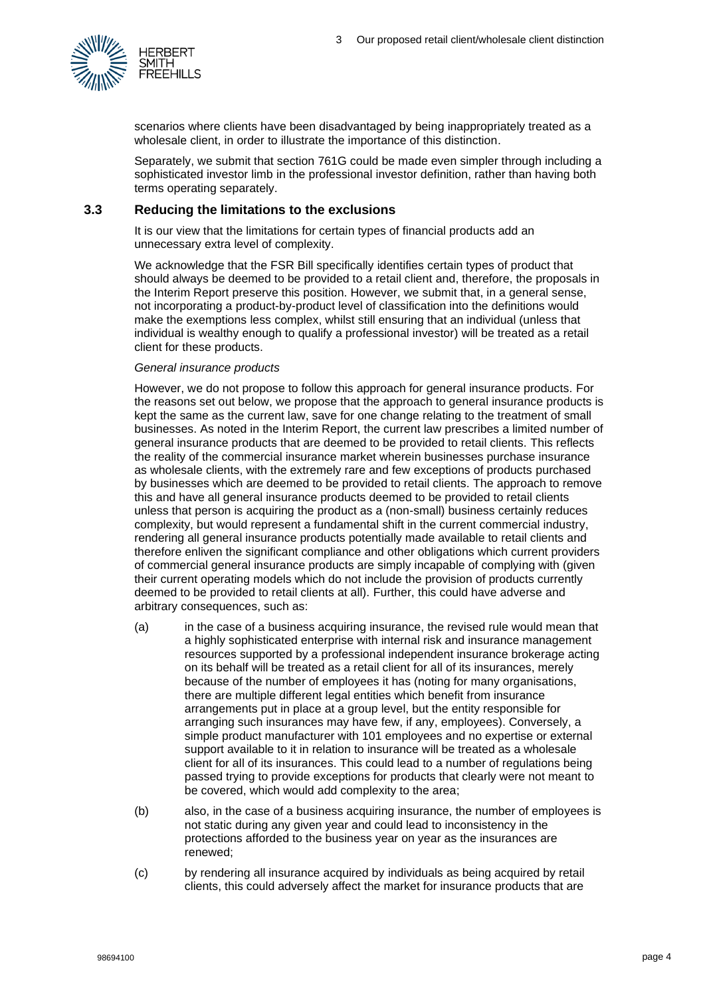

scenarios where clients have been disadvantaged by being inappropriately treated as a wholesale client, in order to illustrate the importance of this distinction.

Separately, we submit that section 761G could be made even simpler through including a sophisticated investor limb in the professional investor definition, rather than having both terms operating separately.

## **3.3 Reducing the limitations to the exclusions**

It is our view that the limitations for certain types of financial products add an unnecessary extra level of complexity.

We acknowledge that the FSR Bill specifically identifies certain types of product that should always be deemed to be provided to a retail client and, therefore, the proposals in the Interim Report preserve this position. However, we submit that, in a general sense, not incorporating a product-by-product level of classification into the definitions would make the exemptions less complex, whilst still ensuring that an individual (unless that individual is wealthy enough to qualify a professional investor) will be treated as a retail client for these products.

#### *General insurance products*

However, we do not propose to follow this approach for general insurance products. For the reasons set out below, we propose that the approach to general insurance products is kept the same as the current law, save for one change relating to the treatment of small businesses. As noted in the Interim Report, the current law prescribes a limited number of general insurance products that are deemed to be provided to retail clients. This reflects the reality of the commercial insurance market wherein businesses purchase insurance as wholesale clients, with the extremely rare and few exceptions of products purchased by businesses which are deemed to be provided to retail clients. The approach to remove this and have all general insurance products deemed to be provided to retail clients unless that person is acquiring the product as a (non-small) business certainly reduces complexity, but would represent a fundamental shift in the current commercial industry, rendering all general insurance products potentially made available to retail clients and therefore enliven the significant compliance and other obligations which current providers of commercial general insurance products are simply incapable of complying with (given their current operating models which do not include the provision of products currently deemed to be provided to retail clients at all). Further, this could have adverse and arbitrary consequences, such as:

- (a) in the case of a business acquiring insurance, the revised rule would mean that a highly sophisticated enterprise with internal risk and insurance management resources supported by a professional independent insurance brokerage acting on its behalf will be treated as a retail client for all of its insurances, merely because of the number of employees it has (noting for many organisations, there are multiple different legal entities which benefit from insurance arrangements put in place at a group level, but the entity responsible for arranging such insurances may have few, if any, employees). Conversely, a simple product manufacturer with 101 employees and no expertise or external support available to it in relation to insurance will be treated as a wholesale client for all of its insurances. This could lead to a number of regulations being passed trying to provide exceptions for products that clearly were not meant to be covered, which would add complexity to the area;
- (b) also, in the case of a business acquiring insurance, the number of employees is not static during any given year and could lead to inconsistency in the protections afforded to the business year on year as the insurances are renewed;
- (c) by rendering all insurance acquired by individuals as being acquired by retail clients, this could adversely affect the market for insurance products that are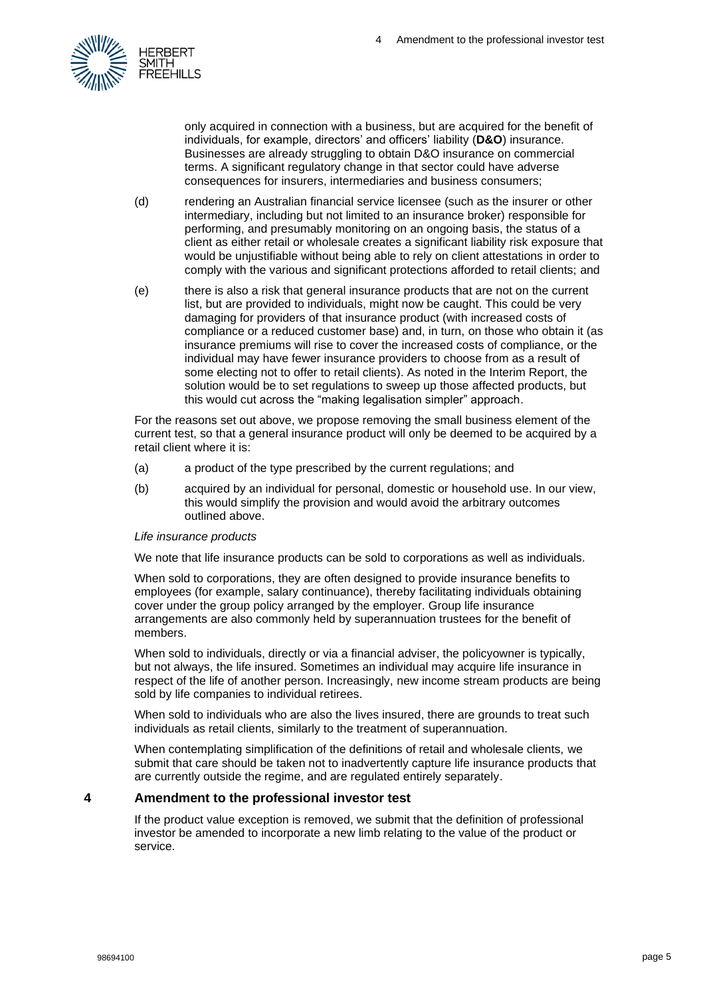

only acquired in connection with a business, but are acquired for the benefit of individuals, for example, directors' and officers' liability (**D&O**) insurance. Businesses are already struggling to obtain D&O insurance on commercial terms. A significant regulatory change in that sector could have adverse consequences for insurers, intermediaries and business consumers;

- (d) rendering an Australian financial service licensee (such as the insurer or other intermediary, including but not limited to an insurance broker) responsible for performing, and presumably monitoring on an ongoing basis, the status of a client as either retail or wholesale creates a significant liability risk exposure that would be unjustifiable without being able to rely on client attestations in order to comply with the various and significant protections afforded to retail clients; and
- (e) there is also a risk that general insurance products that are not on the current list, but are provided to individuals, might now be caught. This could be very damaging for providers of that insurance product (with increased costs of compliance or a reduced customer base) and, in turn, on those who obtain it (as insurance premiums will rise to cover the increased costs of compliance, or the individual may have fewer insurance providers to choose from as a result of some electing not to offer to retail clients). As noted in the Interim Report, the solution would be to set regulations to sweep up those affected products, but this would cut across the "making legalisation simpler" approach.

For the reasons set out above, we propose removing the small business element of the current test, so that a general insurance product will only be deemed to be acquired by a retail client where it is:

- (a) a product of the type prescribed by the current regulations; and
- (b) acquired by an individual for personal, domestic or household use. In our view, this would simplify the provision and would avoid the arbitrary outcomes outlined above.

#### *Life insurance products*

We note that life insurance products can be sold to corporations as well as individuals.

When sold to corporations, they are often designed to provide insurance benefits to employees (for example, salary continuance), thereby facilitating individuals obtaining cover under the group policy arranged by the employer. Group life insurance arrangements are also commonly held by superannuation trustees for the benefit of members.

When sold to individuals, directly or via a financial adviser, the policyowner is typically, but not always, the life insured. Sometimes an individual may acquire life insurance in respect of the life of another person. Increasingly, new income stream products are being sold by life companies to individual retirees.

When sold to individuals who are also the lives insured, there are grounds to treat such individuals as retail clients, similarly to the treatment of superannuation.

When contemplating simplification of the definitions of retail and wholesale clients, we submit that care should be taken not to inadvertently capture life insurance products that are currently outside the regime, and are regulated entirely separately.

# **4 Amendment to the professional investor test**

If the product value exception is removed, we submit that the definition of professional investor be amended to incorporate a new limb relating to the value of the product or service.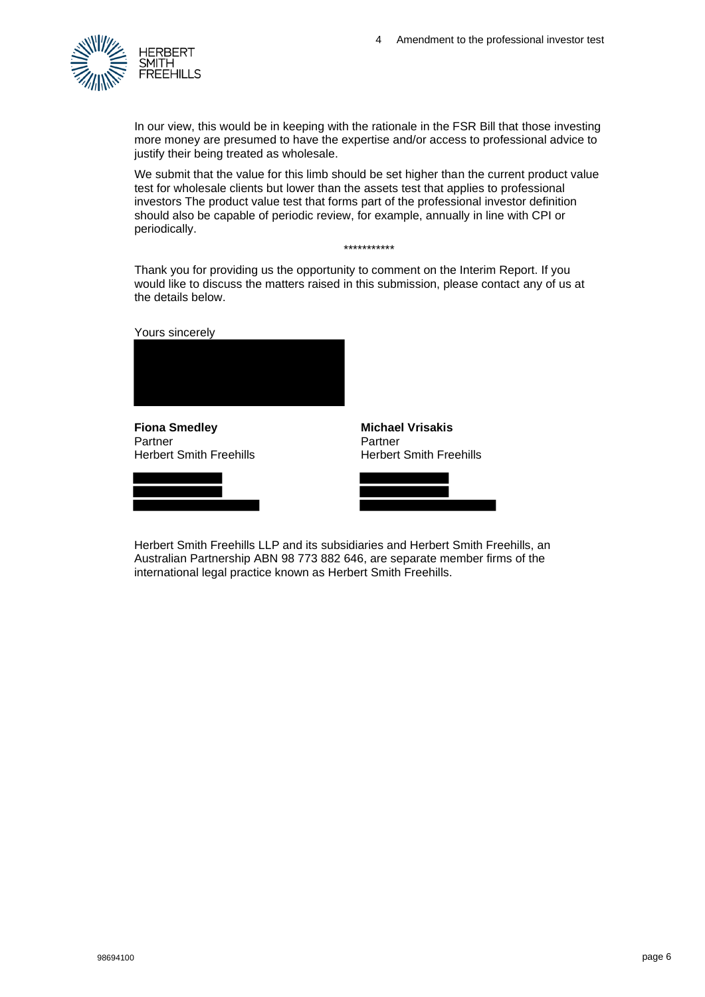

In our view, this would be in keeping with the rationale in the FSR Bill that those investing more money are presumed to have the expertise and/or access to professional advice to justify their being treated as wholesale.

We submit that the value for this limb should be set higher than the current product value test for wholesale clients but lower than the assets test that applies to professional investors The product value test that forms part of the professional investor definition should also be capable of periodic review, for example, annually in line with CPI or periodically.

\*\*\*\*\*\*\*\*\*\*\*

Thank you for providing us the opportunity to comment on the Interim Report. If you would like to discuss the matters raised in this submission, please contact any of us at the details below.

Yours sincerely



**Fiona Smedley** Partner Herbert Smith Freehills





**Michael Vrisakis**

Herbert Smith Freehills LLP and its subsidiaries and Herbert Smith Freehills, an Australian Partnership ABN 98 773 882 646, are separate member firms of the international legal practice known as Herbert Smith Freehills.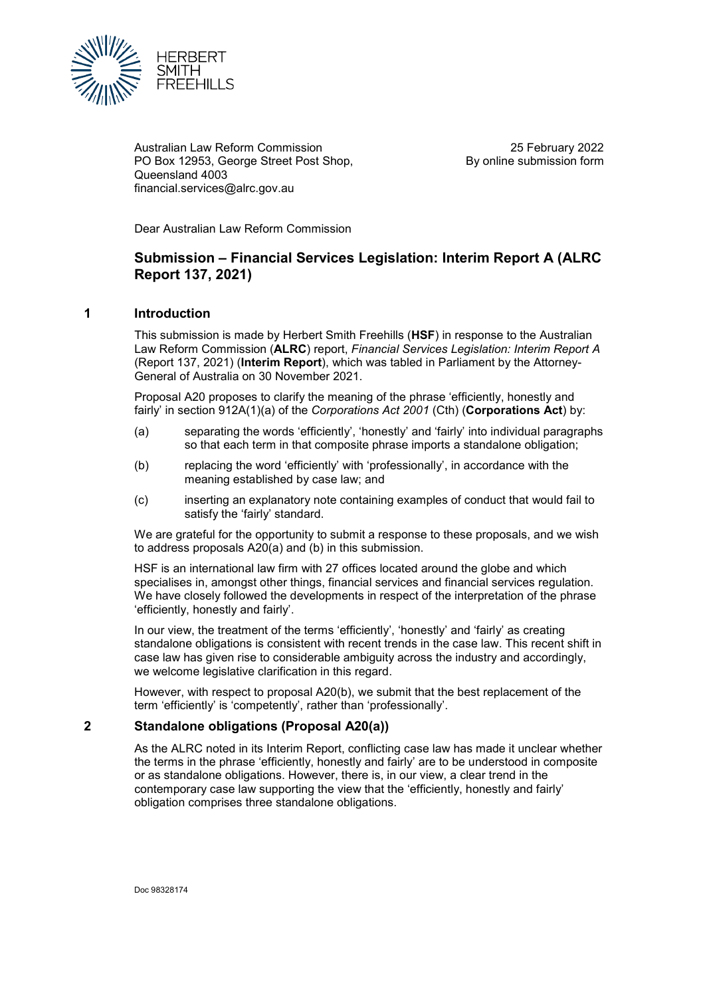

Australian Law Reform Commission PO Box 12953, George Street Post Shop, Queensland 4003 financial.services@alrc.gov.au

25 February 2022 By online submission form

Dear Australian Law Reform Commission

# **Submission – Financial Services Legislation: Interim Report A (ALRC Report 137, 2021)**

## **1 Introduction**

This submission is made by Herbert Smith Freehills (**HSF**) in response to the Australian Law Reform Commission (**ALRC**) report, *Financial Services Legislation: Interim Report A*  (Report 137, 2021) (**Interim Report**), which was tabled in Parliament by the Attorney-General of Australia on 30 November 2021.

Proposal A20 proposes to clarify the meaning of the phrase 'efficiently, honestly and fairly' in section 912A(1)(a) of the *Corporations Act 2001* (Cth) (**Corporations Act**) by:

- (a) separating the words 'efficiently', 'honestly' and 'fairly' into individual paragraphs so that each term in that composite phrase imports a standalone obligation;
- (b) replacing the word 'efficiently' with 'professionally', in accordance with the meaning established by case law; and
- (c) inserting an explanatory note containing examples of conduct that would fail to satisfy the 'fairly' standard.

We are grateful for the opportunity to submit a response to these proposals, and we wish to address proposals A20(a) and (b) in this submission.

HSF is an international law firm with 27 offices located around the globe and which specialises in, amongst other things, financial services and financial services regulation. We have closely followed the developments in respect of the interpretation of the phrase 'efficiently, honestly and fairly'.

In our view, the treatment of the terms 'efficiently', 'honestly' and 'fairly' as creating standalone obligations is consistent with recent trends in the case law. This recent shift in case law has given rise to considerable ambiguity across the industry and accordingly, we welcome legislative clarification in this regard.

However, with respect to proposal A20(b), we submit that the best replacement of the term 'efficiently' is 'competently', rather than 'professionally'.

#### **2 Standalone obligations (Proposal A20(a))**

As the ALRC noted in its Interim Report, conflicting case law has made it unclear whether the terms in the phrase 'efficiently, honestly and fairly' are to be understood in composite or as standalone obligations. However, there is, in our view, a clear trend in the contemporary case law supporting the view that the 'efficiently, honestly and fairly' obligation comprises three standalone obligations.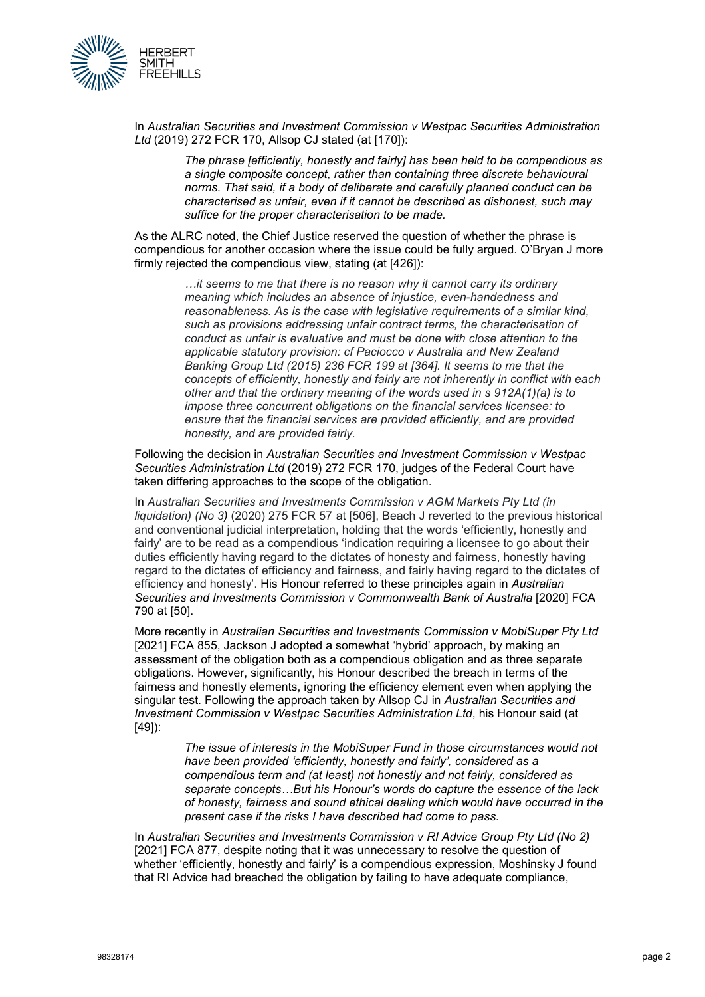

In *Australian Securities and Investment Commission v Westpac Securities Administration Ltd* (2019) 272 FCR 170, Allsop CJ stated (at [170]):

> *The phrase [efficiently, honestly and fairly] has been held to be compendious as a single composite concept, rather than containing three discrete behavioural norms. That said, if a body of deliberate and carefully planned conduct can be characterised as unfair, even if it cannot be described as dishonest, such may suffice for the proper characterisation to be made.*

As the ALRC noted, the Chief Justice reserved the question of whether the phrase is compendious for another occasion where the issue could be fully argued. O'Bryan J more firmly rejected the compendious view, stating (at [426]):

> *…it seems to me that there is no reason why it cannot carry its ordinary meaning which includes an absence of injustice, even-handedness and reasonableness. As is the case with legislative requirements of a similar kind, such as provisions addressing unfair contract terms, the characterisation of conduct as unfair is evaluative and must be done with close attention to the applicable statutory provision: cf Paciocco v Australia and New Zealand Banking Group Ltd (2015) 236 FCR 199 at [364]. It seems to me that the concepts of efficiently, honestly and fairly are not inherently in conflict with each other and that the ordinary meaning of the words used in s 912A(1)(a) is to impose three concurrent obligations on the financial services licensee: to ensure that the financial services are provided efficiently, and are provided honestly, and are provided fairly.*

Following the decision in *Australian Securities and Investment Commission v Westpac Securities Administration Ltd* (2019) 272 FCR 170, judges of the Federal Court have taken differing approaches to the scope of the obligation.

In *Australian Securities and Investments Commission v AGM Markets Pty Ltd (in liquidation) (No 3)* (2020) 275 FCR 57 at [506], Beach J reverted to the previous historical and conventional judicial interpretation, holding that the words 'efficiently, honestly and fairly' are to be read as a compendious 'indication requiring a licensee to go about their duties efficiently having regard to the dictates of honesty and fairness, honestly having regard to the dictates of efficiency and fairness, and fairly having regard to the dictates of efficiency and honesty'. His Honour referred to these principles again in *Australian Securities and Investments Commission v Commonwealth Bank of Australia* [2020] FCA 790 at [50].

More recently in *Australian Securities and Investments Commission v MobiSuper Pty Ltd* [2021] FCA 855, Jackson J adopted a somewhat 'hybrid' approach, by making an assessment of the obligation both as a compendious obligation and as three separate obligations. However, significantly, his Honour described the breach in terms of the fairness and honestly elements, ignoring the efficiency element even when applying the singular test. Following the approach taken by Allsop CJ in *Australian Securities and Investment Commission v Westpac Securities Administration Ltd*, his Honour said (at [49]):

> *The issue of interests in the MobiSuper Fund in those circumstances would not have been provided 'efficiently, honestly and fairly', considered as a compendious term and (at least) not honestly and not fairly, considered as separate concepts…But his Honour's words do capture the essence of the lack of honesty, fairness and sound ethical dealing which would have occurred in the present case if the risks I have described had come to pass.*

In *Australian Securities and Investments Commission v RI Advice Group Pty Ltd (No 2)*  [2021] FCA 877, despite noting that it was unnecessary to resolve the question of whether 'efficiently, honestly and fairly' is a compendious expression, Moshinsky J found that RI Advice had breached the obligation by failing to have adequate compliance,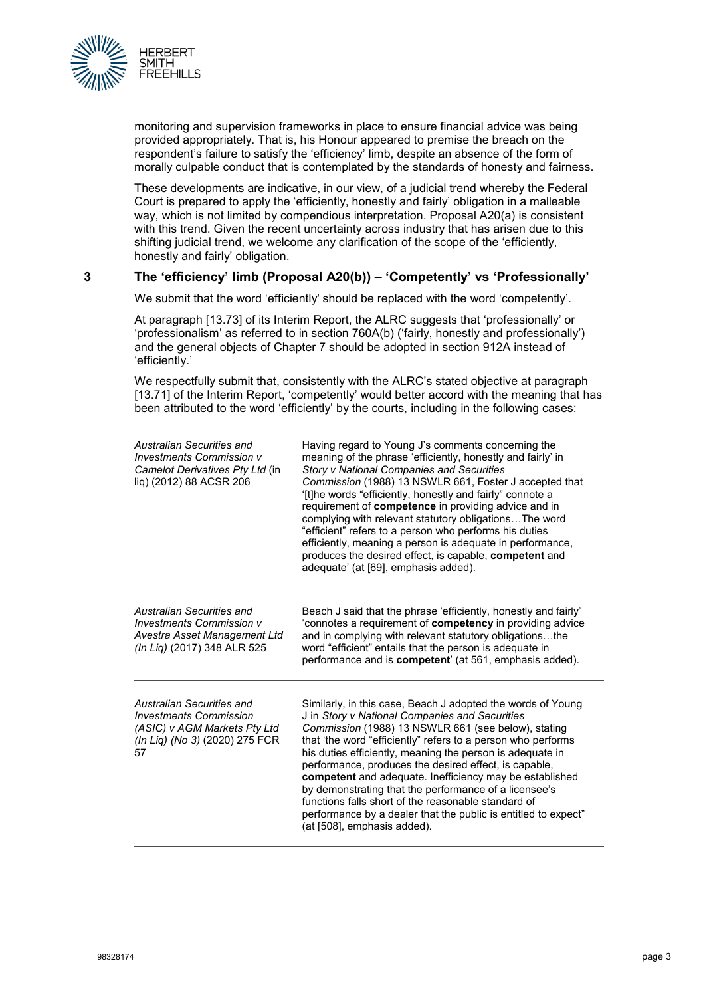

monitoring and supervision frameworks in place to ensure financial advice was being provided appropriately. That is, his Honour appeared to premise the breach on the respondent's failure to satisfy the 'efficiency' limb, despite an absence of the form of morally culpable conduct that is contemplated by the standards of honesty and fairness.

These developments are indicative, in our view, of a judicial trend whereby the Federal Court is prepared to apply the 'efficiently, honestly and fairly' obligation in a malleable way, which is not limited by compendious interpretation. Proposal A20(a) is consistent with this trend. Given the recent uncertainty across industry that has arisen due to this shifting judicial trend, we welcome any clarification of the scope of the 'efficiently, honestly and fairly' obligation.

# **3 The 'efficiency' limb (Proposal A20(b)) – 'Competently' vs 'Professionally'**

We submit that the word 'efficiently' should be replaced with the word 'competently'.

At paragraph [13.73] of its Interim Report, the ALRC suggests that 'professionally' or 'professionalism' as referred to in section 760A(b) ('fairly, honestly and professionally') and the general objects of Chapter 7 should be adopted in section 912A instead of 'efficiently.'

We respectfully submit that, consistently with the ALRC's stated objective at paragraph [13.71] of the Interim Report, 'competently' would better accord with the meaning that has been attributed to the word 'efficiently' by the courts, including in the following cases:

| Australian Securities and<br><b>Investments Commission v</b><br>Camelot Derivatives Pty Ltd (in<br>liq) (2012) 88 ACSR 206         | Having regard to Young J's comments concerning the<br>meaning of the phrase 'efficiently, honestly and fairly' in<br><b>Story v National Companies and Securities</b><br>Commission (1988) 13 NSWLR 661, Foster J accepted that<br>'[t]he words "efficiently, honestly and fairly" connote a<br>requirement of competence in providing advice and in<br>complying with relevant statutory obligations The word<br>"efficient" refers to a person who performs his duties<br>efficiently, meaning a person is adequate in performance,<br>produces the desired effect, is capable, competent and<br>adequate' (at [69], emphasis added). |
|------------------------------------------------------------------------------------------------------------------------------------|-----------------------------------------------------------------------------------------------------------------------------------------------------------------------------------------------------------------------------------------------------------------------------------------------------------------------------------------------------------------------------------------------------------------------------------------------------------------------------------------------------------------------------------------------------------------------------------------------------------------------------------------|
| Australian Securities and<br>Investments Commission v<br>Avestra Asset Management Ltd<br>(In Lig) (2017) 348 ALR 525               | Beach J said that the phrase 'efficiently, honestly and fairly'<br>'connotes a requirement of <b>competency</b> in providing advice<br>and in complying with relevant statutory obligationsthe<br>word "efficient" entails that the person is adequate in<br>performance and is <b>competent</b> ' (at 561, emphasis added).                                                                                                                                                                                                                                                                                                            |
| Australian Securities and<br><b>Investments Commission</b><br>(ASIC) v AGM Markets Pty Ltd<br>(In Lig) (No 3) (2020) 275 FCR<br>57 | Similarly, in this case, Beach J adopted the words of Young<br>J in Story v National Companies and Securities<br>Commission (1988) 13 NSWLR 661 (see below), stating<br>that 'the word "efficiently" refers to a person who performs<br>his duties efficiently, meaning the person is adequate in<br>performance, produces the desired effect, is capable,<br>competent and adequate. Inefficiency may be established<br>by demonstrating that the performance of a licensee's<br>functions falls short of the reasonable standard of<br>performance by a dealer that the public is entitled to expect"<br>(at [508], emphasis added).  |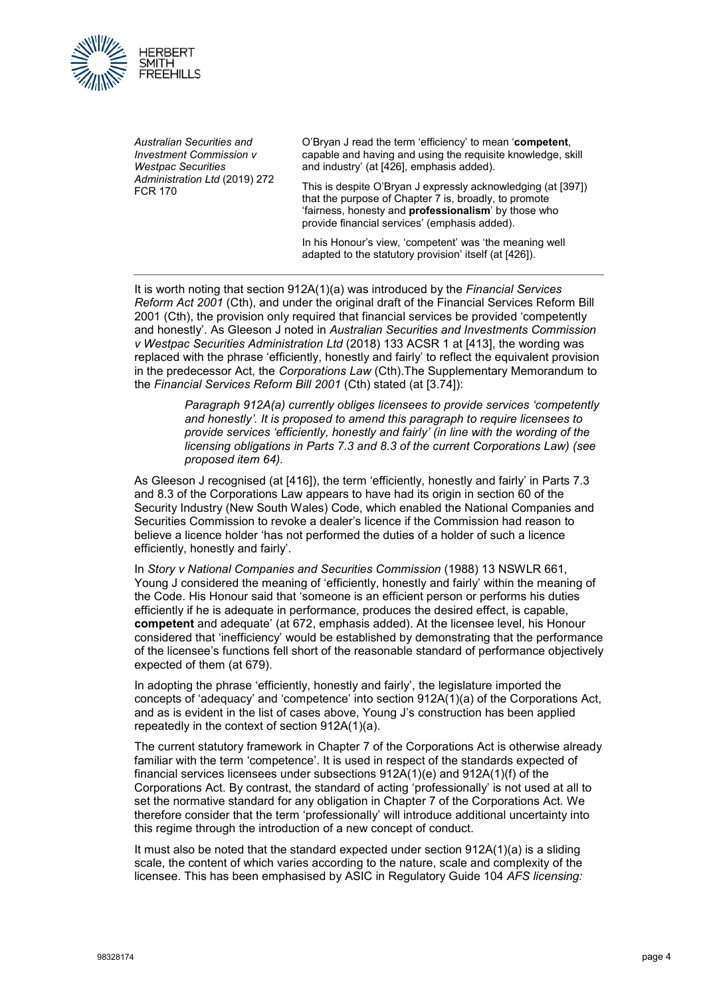

*Australian Securities and Investment Commission v Westpac Securities Administration Ltd* (2019) 272 FCR 170

O'Bryan J read the term 'efficiency' to mean '**competent**, capable and having and using the requisite knowledge, skill and industry' (at [426], emphasis added).

This is despite O'Bryan J expressly acknowledging (at [397]) that the purpose of Chapter 7 is, broadly, to promote 'fairness, honesty and **professionalism**' by those who provide financial services' (emphasis added).

In his Honour's view, 'competent' was 'the meaning well adapted to the statutory provision' itself (at [426]).

It is worth noting that section 912A(1)(a) was introduced by the *Financial Services Reform Act 2001* (Cth), and under the original draft of the Financial Services Reform Bill 2001 (Cth), the provision only required that financial services be provided 'competently and honestly'. As Gleeson J noted in *Australian Securities and Investments Commission v Westpac Securities Administration Ltd* (2018) 133 ACSR 1 at [413], the wording was replaced with the phrase 'efficiently, honestly and fairly' to reflect the equivalent provision in the predecessor Act, the *Corporations Law* (Cth).The Supplementary Memorandum to the *Financial Services Reform Bill 2001* (Cth) stated (at [3.74]):

> *Paragraph 912A(a) currently obliges licensees to provide services 'competently and honestly'. It is proposed to amend this paragraph to require licensees to provide services 'efficiently, honestly and fairly' (in line with the wording of the licensing obligations in Parts 7.3 and 8.3 of the current Corporations Law) (see proposed item 64).*

As Gleeson J recognised (at [416]), the term 'efficiently, honestly and fairly' in Parts 7.3 and 8.3 of the Corporations Law appears to have had its origin in section 60 of the Security Industry (New South Wales) Code, which enabled the National Companies and Securities Commission to revoke a dealer's licence if the Commission had reason to believe a licence holder 'has not performed the duties of a holder of such a licence efficiently, honestly and fairly'.

In *Story v National Companies and Securities Commission* (1988) 13 NSWLR 661, Young J considered the meaning of 'efficiently, honestly and fairly' within the meaning of the Code. His Honour said that 'someone is an efficient person or performs his duties efficiently if he is adequate in performance, produces the desired effect, is capable, **competent** and adequate' (at 672, emphasis added). At the licensee level, his Honour considered that 'inefficiency' would be established by demonstrating that the performance of the licensee's functions fell short of the reasonable standard of performance objectively expected of them (at 679).

In adopting the phrase 'efficiently, honestly and fairly', the legislature imported the concepts of 'adequacy' and 'competence' into section 912A(1)(a) of the Corporations Act, and as is evident in the list of cases above, Young J's construction has been applied repeatedly in the context of section 912A(1)(a).

The current statutory framework in Chapter 7 of the Corporations Act is otherwise already familiar with the term 'competence'. It is used in respect of the standards expected of financial services licensees under subsections  $912A(1)(e)$  and  $912A(1)(f)$  of the Corporations Act. By contrast, the standard of acting 'professionally' is not used at all to set the normative standard for any obligation in Chapter 7 of the Corporations Act. We therefore consider that the term 'professionally' will introduce additional uncertainty into this regime through the introduction of a new concept of conduct.

It must also be noted that the standard expected under section 912A(1)(a) is a sliding scale, the content of which varies according to the nature, scale and complexity of the licensee. This has been emphasised by ASIC in Regulatory Guide 104 *AFS licensing:*